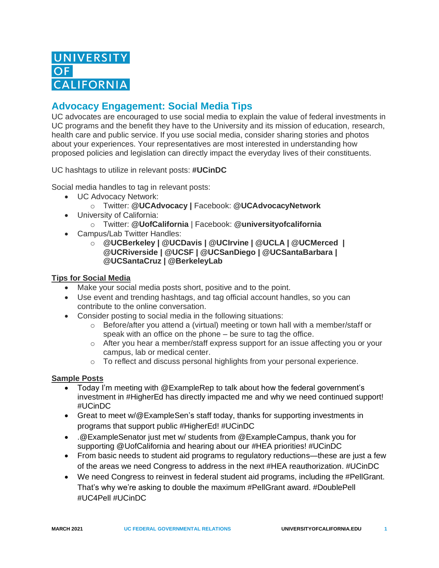## **Advocacy Engagement: Social Media Tips**

UC advocates are encouraged to use social media to explain the value of federal investments in UC programs and the benefit they have to the University and its mission of education, research, health care and public service. If you use social media, consider sharing stories and photos about your experiences. Your representatives are most interested in understanding how proposed policies and legislation can directly impact the everyday lives of their constituents.

UC hashtags to utilize in relevant posts: **#UCinDC**

Social media handles to tag in relevant posts:

- UC Advocacy Network:
	- o Twitter: **@UCAdvocacy |** Facebook: **@UCAdvocacyNetwork**
- University of California:
	- o Twitter: **@UofCalifornia** | Facebook: **@universityofcalifornia**
- Campus/Lab Twitter Handles:
	- o **@UCBerkeley | @UCDavis | @UCIrvine | @UCLA | @UCMerced | @UCRiverside | @UCSF | @UCSanDiego | @UCSantaBarbara | @UCSantaCruz | @BerkeleyLab**

## **Tips for Social Media**

- Make your social media posts short, positive and to the point.
- Use event and trending hashtags, and tag official account handles, so you can contribute to the online conversation.
- Consider posting to social media in the following situations:
	- $\circ$  Before/after you attend a (virtual) meeting or town hall with a member/staff or speak with an office on the phone – be sure to tag the office.
	- o After you hear a member/staff express support for an issue affecting you or your campus, lab or medical center.
	- $\circ$  To reflect and discuss personal highlights from your personal experience.

## **Sample Posts**

- Today I'm meeting with @ExampleRep to talk about how the federal government's investment in #HigherEd has directly impacted me and why we need continued support! #UCinDC
- Great to meet w/@ExampleSen's staff today, thanks for supporting investments in programs that support public #HigherEd! #UCinDC
- .@ExampleSenator just met w/ students from @ExampleCampus, thank you for supporting @UofCalifornia and hearing about our #HEA priorities! #UCinDC
- From basic needs to student aid programs to regulatory reductions—these are just a few of the areas we need Congress to address in the next #HEA reauthorization. #UCinDC
- We need Congress to reinvest in federal student aid programs, including the #PellGrant. That's why we're asking to double the maximum #PellGrant award. #DoublePell #UC4Pell #UCinDC